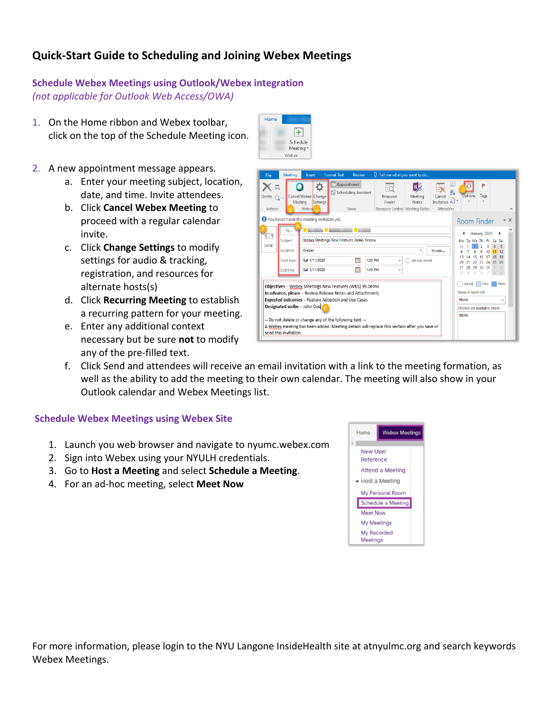# **Quick-Start Guide to Scheduling and Joining Webex Meetings**

## **Schedule Webex Meetings using Outlook/Webex integration** *(not applicable for Outlook Web Access/OWA)*

- 1. On the Home ribbon and Webex toolbar, click on the top of the Schedule Meeting icon.
- 2. A new appointment message appears.
	- a. Enter your meeting subject, location, date, and time. Invite attendees.
	- b. Click **Cancel Webex Meeting** to proceed with a regular calendar invite.
	- c. Click **Change Settings** to modify settings for audio & tracking, registration, and resources for alternate hosts(s)
	- d. Click **Recurring Meeting** to establish a recurring pattern for your meeting.
	- e. Enter any additional context necessary but be sure **not** to modify any of the pre-filled text.



f. Click Send and attendees will receive an email invitation with a link to the meeting formation, as well as the ability to add the meeting to their own calendar. The meeting will also show in your Outlook calendar and Webex Meetings list.

Home

田 Schedule Meeting \ Webex

#### **Schedule Webex Meetings using Webex Site**

- 1. Launch you web browser and navigate to nyumc.webex.com
- 2. Sign into Webex using your NYULH credentials.
- 3. Go to **Host a Meeting** and select **Schedule a Meeting**.
- 4. For an ad-hoc meeting, select Meet Now



For more information, please login to the NYU Langone InsideHealth site at atnyulmc.org and search keywords Webex Meetings.